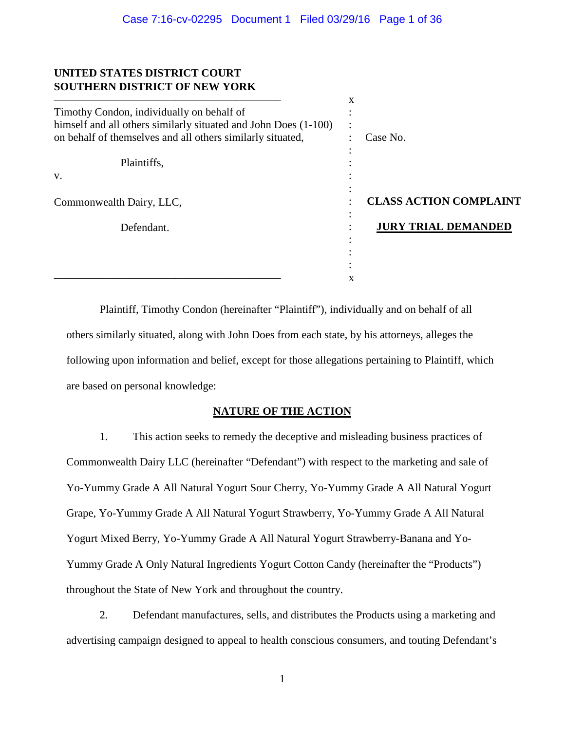# **UNITED STATES DISTRICT COURT SOUTHERN DISTRICT OF NEW YORK**

|                                                                 | x         |                               |
|-----------------------------------------------------------------|-----------|-------------------------------|
| Timothy Condon, individually on behalf of                       |           |                               |
| himself and all others similarly situated and John Does (1-100) | $\bullet$ |                               |
| on behalf of themselves and all others similarly situated,      |           | Case No.                      |
|                                                                 |           |                               |
| Plaintiffs,                                                     |           |                               |
| V.                                                              |           |                               |
|                                                                 |           |                               |
| Commonwealth Dairy, LLC,                                        |           | <b>CLASS ACTION COMPLAINT</b> |
| Defendant.                                                      |           | <b>JURY TRIAL DEMANDED</b>    |
|                                                                 |           |                               |
|                                                                 |           |                               |
|                                                                 |           |                               |
|                                                                 | X         |                               |

Plaintiff, Timothy Condon (hereinafter "Plaintiff"), individually and on behalf of all others similarly situated, along with John Does from each state, by his attorneys, alleges the following upon information and belief, except for those allegations pertaining to Plaintiff, which are based on personal knowledge:

# **NATURE OF THE ACTION**

1. This action seeks to remedy the deceptive and misleading business practices of Commonwealth Dairy LLC (hereinafter "Defendant") with respect to the marketing and sale of Yo-Yummy Grade A All Natural Yogurt Sour Cherry, Yo-Yummy Grade A All Natural Yogurt Grape, Yo-Yummy Grade A All Natural Yogurt Strawberry, Yo-Yummy Grade A All Natural Yogurt Mixed Berry, Yo-Yummy Grade A All Natural Yogurt Strawberry-Banana and Yo-Yummy Grade A Only Natural Ingredients Yogurt Cotton Candy (hereinafter the "Products") throughout the State of New York and throughout the country.

2. Defendant manufactures, sells, and distributes the Products using a marketing and advertising campaign designed to appeal to health conscious consumers, and touting Defendant's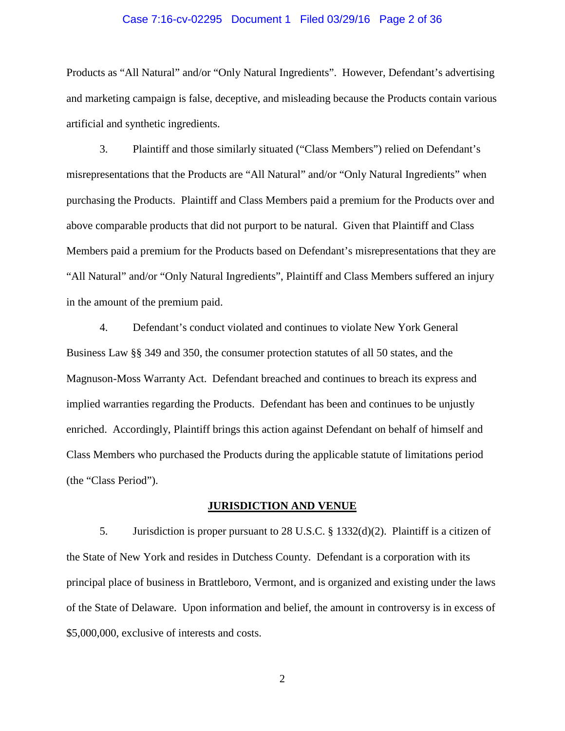### Case 7:16-cv-02295 Document 1 Filed 03/29/16 Page 2 of 36

Products as "All Natural" and/or "Only Natural Ingredients". However, Defendant's advertising and marketing campaign is false, deceptive, and misleading because the Products contain various artificial and synthetic ingredients.

3. Plaintiff and those similarly situated ("Class Members") relied on Defendant's misrepresentations that the Products are "All Natural" and/or "Only Natural Ingredients" when purchasing the Products. Plaintiff and Class Members paid a premium for the Products over and above comparable products that did not purport to be natural. Given that Plaintiff and Class Members paid a premium for the Products based on Defendant's misrepresentations that they are "All Natural" and/or "Only Natural Ingredients", Plaintiff and Class Members suffered an injury in the amount of the premium paid.

4. Defendant's conduct violated and continues to violate New York General Business Law §§ 349 and 350, the consumer protection statutes of all 50 states, and the Magnuson-Moss Warranty Act. Defendant breached and continues to breach its express and implied warranties regarding the Products. Defendant has been and continues to be unjustly enriched. Accordingly, Plaintiff brings this action against Defendant on behalf of himself and Class Members who purchased the Products during the applicable statute of limitations period (the "Class Period").

## **JURISDICTION AND VENUE**

5. Jurisdiction is proper pursuant to 28 U.S.C. § 1332(d)(2). Plaintiff is a citizen of the State of New York and resides in Dutchess County. Defendant is a corporation with its principal place of business in Brattleboro, Vermont, and is organized and existing under the laws of the State of Delaware. Upon information and belief, the amount in controversy is in excess of \$5,000,000, exclusive of interests and costs.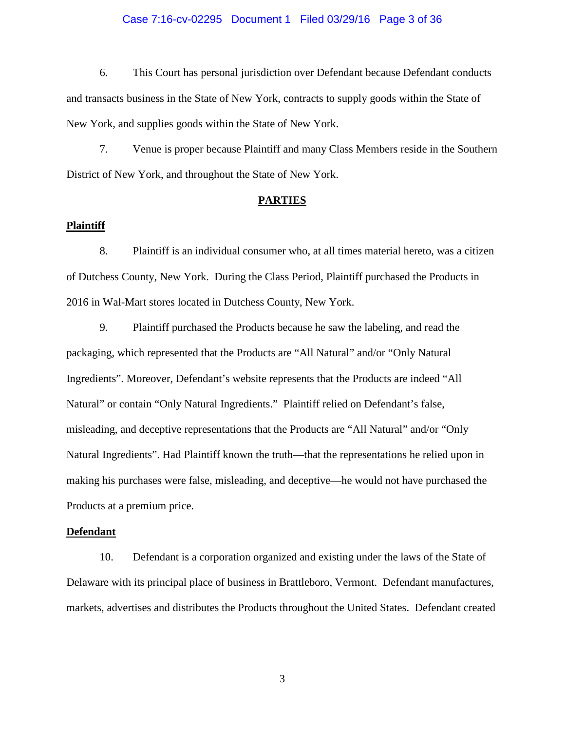### Case 7:16-cv-02295 Document 1 Filed 03/29/16 Page 3 of 36

6. This Court has personal jurisdiction over Defendant because Defendant conducts and transacts business in the State of New York, contracts to supply goods within the State of New York, and supplies goods within the State of New York.

7. Venue is proper because Plaintiff and many Class Members reside in the Southern District of New York, and throughout the State of New York.

## **PARTIES**

### **Plaintiff**

8. Plaintiff is an individual consumer who, at all times material hereto, was a citizen of Dutchess County, New York. During the Class Period, Plaintiff purchased the Products in 2016 in Wal-Mart stores located in Dutchess County, New York.

9. Plaintiff purchased the Products because he saw the labeling, and read the packaging, which represented that the Products are "All Natural" and/or "Only Natural Ingredients". Moreover, Defendant's website represents that the Products are indeed "All Natural" or contain "Only Natural Ingredients." Plaintiff relied on Defendant's false, misleading, and deceptive representations that the Products are "All Natural" and/or "Only Natural Ingredients". Had Plaintiff known the truth—that the representations he relied upon in making his purchases were false, misleading, and deceptive—he would not have purchased the Products at a premium price.

#### **Defendant**

10. Defendant is a corporation organized and existing under the laws of the State of Delaware with its principal place of business in Brattleboro, Vermont. Defendant manufactures, markets, advertises and distributes the Products throughout the United States. Defendant created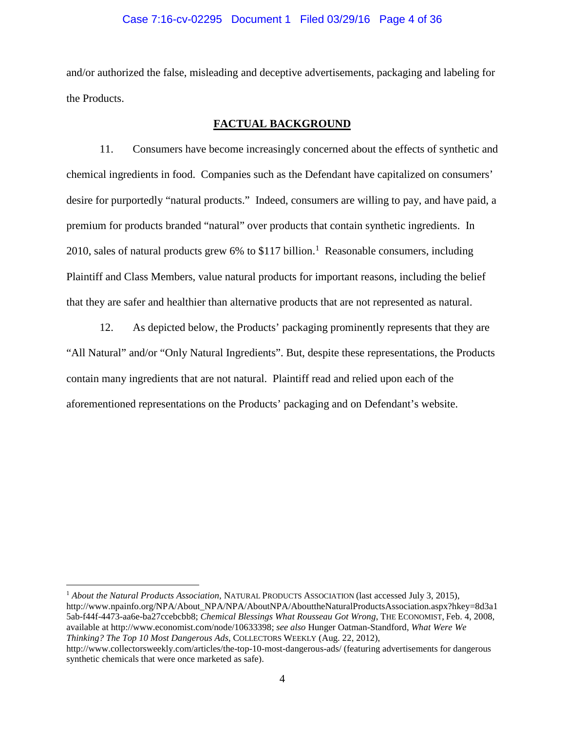### Case 7:16-cv-02295 Document 1 Filed 03/29/16 Page 4 of 36

and/or authorized the false, misleading and deceptive advertisements, packaging and labeling for the Products.

## **FACTUAL BACKGROUND**

11. Consumers have become increasingly concerned about the effects of synthetic and chemical ingredients in food. Companies such as the Defendant have capitalized on consumers' desire for purportedly "natural products." Indeed, consumers are willing to pay, and have paid, a premium for products branded "natural" over products that contain synthetic ingredients. In 20[1](#page-3-0)0, sales of natural products grew 6% to \$117 billion.<sup>1</sup> Reasonable consumers, including Plaintiff and Class Members, value natural products for important reasons, including the belief that they are safer and healthier than alternative products that are not represented as natural.

12. As depicted below, the Products' packaging prominently represents that they are "All Natural" and/or "Only Natural Ingredients". But, despite these representations, the Products contain many ingredients that are not natural. Plaintiff read and relied upon each of the aforementioned representations on the Products' packaging and on Defendant's website.

<span id="page-3-0"></span> <sup>1</sup> *About the Natural Products Association,* NATURAL PRODUCTS ASSOCIATION (last accessed July 3, 2015), http://www.npainfo.org/NPA/About\_NPA/NPA/AboutNPA/AbouttheNaturalProductsAssociation.aspx?hkey=8d3a1 5ab-f44f-4473-aa6e-ba27ccebcbb8; *Chemical Blessings What Rousseau Got Wrong*, THE ECONOMIST, Feb. 4, 2008, available at http://www.economist.com/node/10633398; *see also* Hunger Oatman-Standford, *What Were We Thinking? The Top 10 Most Dangerous Ads*, COLLECTORS WEEKLY (Aug. 22, 2012),

http://www.collectorsweekly.com/articles/the-top-10-most-dangerous-ads/ (featuring advertisements for dangerous synthetic chemicals that were once marketed as safe).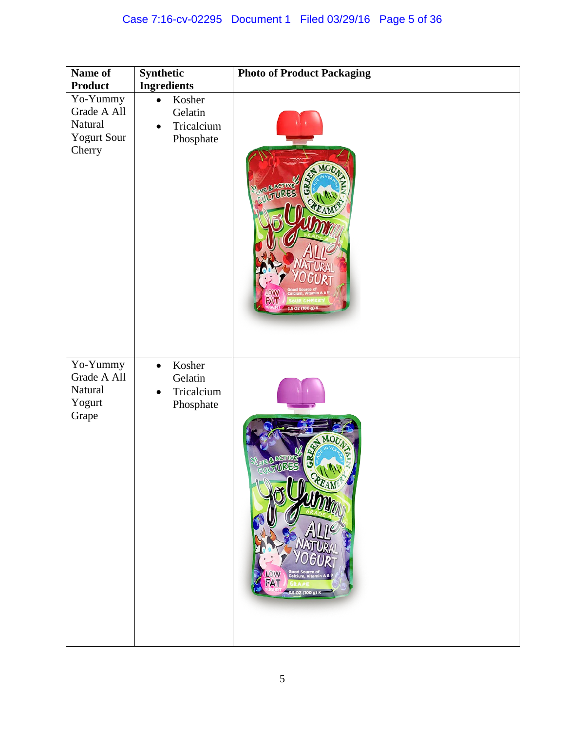| Name of                                                                                     | Synthetic                                                                                    | <b>Photo of Product Packaging</b>                           |
|---------------------------------------------------------------------------------------------|----------------------------------------------------------------------------------------------|-------------------------------------------------------------|
| <b>Product</b><br>$\overline{Y}$ o-Yummy<br>Grade A All<br>Natural<br>Yogurt Sour<br>Cherry | <b>Ingredients</b><br>Kosher<br>$\bullet$<br>Gelatin<br>Tricalcium<br>$\bullet$<br>Phosphate | MO<br><b>VE &amp; AGTIV</b><br><b>WLTURES</b><br>5.07.000.0 |
| $\overline{Y}$ o-Yummy<br>Grade A All<br>Natural<br>Yogurt<br>Grape                         | Kosher<br>$\bullet$<br>Gelatin<br>Tricalcium<br>$\bullet$<br>Phosphate                       | REAM<br>OW<br>FAT<br>3.5 OZ (100 g) K                       |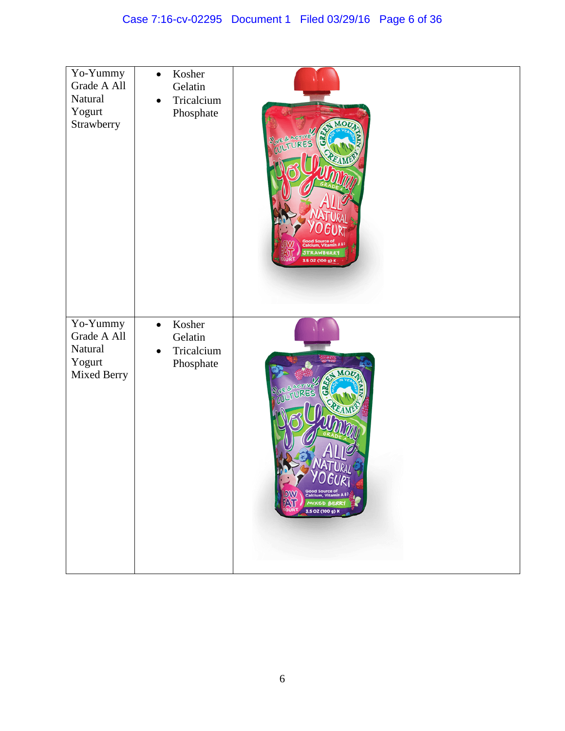| Yo-Yummy<br>Grade A All<br>Natural<br>Yogurt<br>Strawberry  | Kosher<br>$\bullet$<br>Gelatin<br>Tricalcium<br>$\bullet$<br>Phosphate | <b>VE &amp; ACTIVE</b><br>3.5 OZ (100 g)                                                                     |
|-------------------------------------------------------------|------------------------------------------------------------------------|--------------------------------------------------------------------------------------------------------------|
| Yo-Yummy<br>Grade A All<br>Natural<br>Yogurt<br>Mixed Berry | Kosher<br>$\bullet$<br>Gelatin<br>Tricalcium<br>Phosphate              | MOU<br>Good Source of<br>Calcium, Vitamin A&P<br><b>LOW</b><br><b>ATT</b><br>MIXED BERRY<br>3.5 OZ (100 g) K |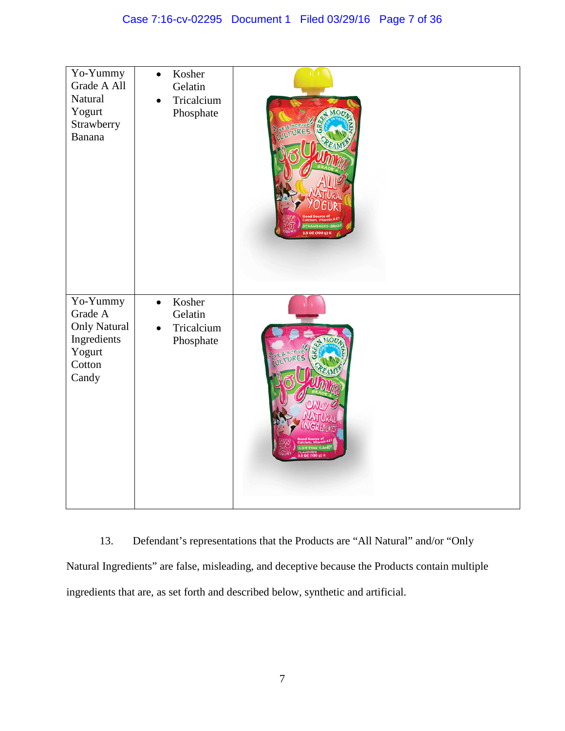| Yo-Yummy<br>Grade A All<br>Natural<br>Yogurt<br>Strawberry<br>Banana                   | Kosher<br>$\bullet$<br>Gelatin<br>Tricalcium<br>$\bullet$<br>Phosphate | π<br><b>AGTIVE</b><br>3.5 OZ (100 g) K |
|----------------------------------------------------------------------------------------|------------------------------------------------------------------------|----------------------------------------|
| Yo-Yummy<br>Grade A<br><b>Only Natural</b><br>Ingredients<br>Yogurt<br>Cotton<br>Candy | Kosher<br>$\bullet$<br>Gelatin<br>Tricalcium<br>$\bullet$<br>Phosphate |                                        |

13. Defendant's representations that the Products are "All Natural" and/or "Only Natural Ingredients" are false, misleading, and deceptive because the Products contain multiple ingredients that are, as set forth and described below, synthetic and artificial.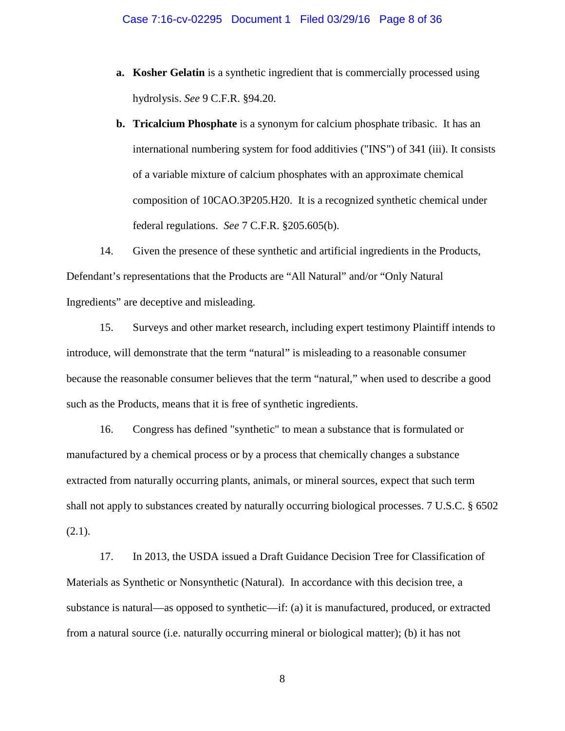- **a. Kosher Gelatin** is a synthetic ingredient that is commercially processed using hydrolysis. *See* 9 C.F.R. §94.20.
- **b. Tricalcium Phosphate** is a synonym for calcium phosphate tribasic. It has an international numbering system for food additivies ("INS") of 341 (iii). It consists of a variable mixture of calcium phosphates with an approximate chemical composition of 10CAO.3P205.H20. It is a recognized synthetic chemical under federal regulations. *See* 7 C.F.R. §205.605(b).

14. Given the presence of these synthetic and artificial ingredients in the Products, Defendant's representations that the Products are "All Natural" and/or "Only Natural Ingredients" are deceptive and misleading.

15. Surveys and other market research, including expert testimony Plaintiff intends to introduce, will demonstrate that the term "natural" is misleading to a reasonable consumer because the reasonable consumer believes that the term "natural," when used to describe a good such as the Products, means that it is free of synthetic ingredients.

16. Congress has defined "synthetic" to mean a substance that is formulated or manufactured by a chemical process or by a process that chemically changes a substance extracted from naturally occurring plants, animals, or mineral sources, expect that such term shall not apply to substances created by naturally occurring biological processes. 7 U.S.C. § 6502 (2.1).

17. In 2013, the USDA issued a Draft Guidance Decision Tree for Classification of Materials as Synthetic or Nonsynthetic (Natural). In accordance with this decision tree, a substance is natural—as opposed to synthetic—if: (a) it is manufactured, produced, or extracted from a natural source (i.e. naturally occurring mineral or biological matter); (b) it has not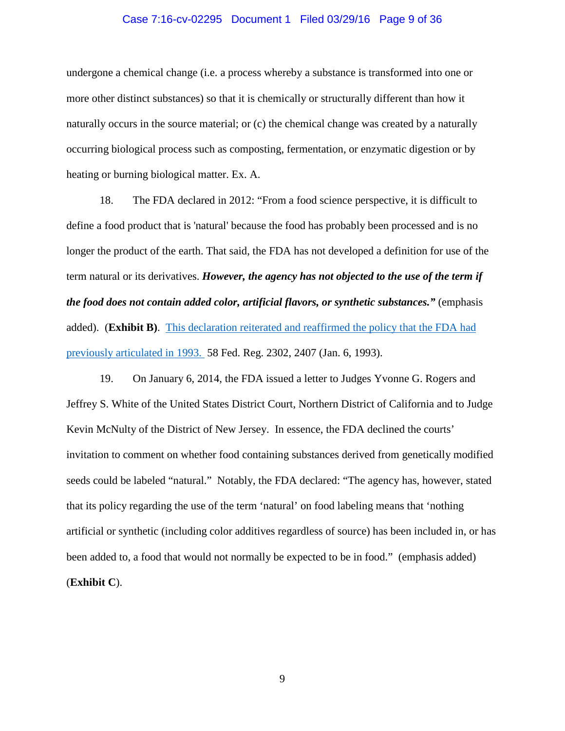### Case 7:16-cv-02295 Document 1 Filed 03/29/16 Page 9 of 36

undergone a chemical change (i.e. a process whereby a substance is transformed into one or more other distinct substances) so that it is chemically or structurally different than how it naturally occurs in the source material; or (c) the chemical change was created by a naturally occurring biological process such as composting, fermentation, or enzymatic digestion or by heating or burning biological matter. Ex. A.

18. The FDA declared in 2012: "From a food science perspective, it is difficult to define a food product that is 'natural' because the food has probably been processed and is no longer the product of the earth. That said, the FDA has not developed a definition for use of the term natural or its derivatives. *However, the agency has not objected to the use of the term if the food does not contain added color, artificial flavors, or synthetic substances."* (emphasis added). (**Exhibit B)**. This declaration reiterated and reaffirmed the policy that the FDA had previously articulated in 1993. 58 Fed. Reg. 2302, 2407 (Jan. 6, 1993).

19. On January 6, 2014, the FDA issued a letter to Judges Yvonne G. Rogers and Jeffrey S. White of the United States District Court, Northern District of California and to Judge Kevin McNulty of the District of New Jersey. In essence, the FDA declined the courts' invitation to comment on whether food containing substances derived from genetically modified seeds could be labeled "natural." Notably, the FDA declared: "The agency has, however, stated that its policy regarding the use of the term 'natural' on food labeling means that 'nothing artificial or synthetic (including color additives regardless of source) has been included in, or has been added to, a food that would not normally be expected to be in food." (emphasis added) (**Exhibit C**).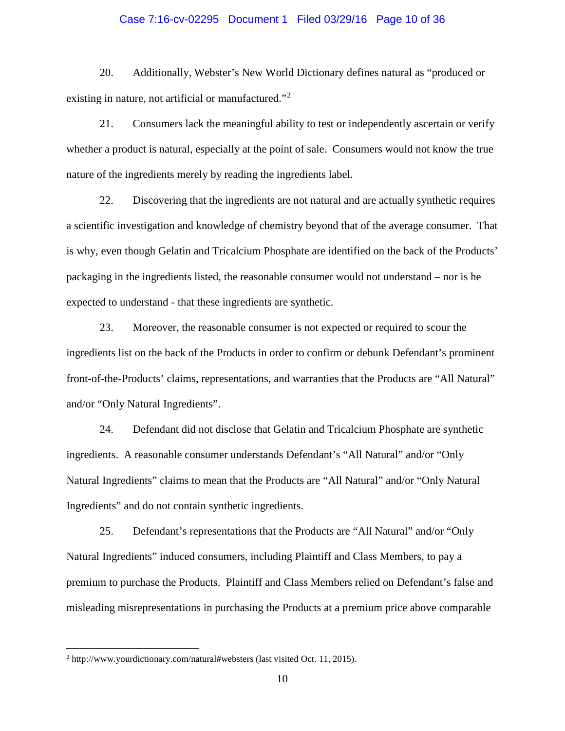### Case 7:16-cv-02295 Document 1 Filed 03/29/16 Page 10 of 36

20. Additionally, Webster's New World Dictionary defines natural as "produced or existing in nature, not artificial or manufactured."<sup>[2](#page-9-0)</sup>

21. Consumers lack the meaningful ability to test or independently ascertain or verify whether a product is natural, especially at the point of sale. Consumers would not know the true nature of the ingredients merely by reading the ingredients label.

22. Discovering that the ingredients are not natural and are actually synthetic requires a scientific investigation and knowledge of chemistry beyond that of the average consumer. That is why, even though Gelatin and Tricalcium Phosphate are identified on the back of the Products' packaging in the ingredients listed, the reasonable consumer would not understand – nor is he expected to understand - that these ingredients are synthetic.

23. Moreover, the reasonable consumer is not expected or required to scour the ingredients list on the back of the Products in order to confirm or debunk Defendant's prominent front-of-the-Products' claims, representations, and warranties that the Products are "All Natural" and/or "Only Natural Ingredients".

24. Defendant did not disclose that Gelatin and Tricalcium Phosphate are synthetic ingredients. A reasonable consumer understands Defendant's "All Natural" and/or "Only Natural Ingredients" claims to mean that the Products are "All Natural" and/or "Only Natural Ingredients" and do not contain synthetic ingredients.

25. Defendant's representations that the Products are "All Natural" and/or "Only Natural Ingredients" induced consumers, including Plaintiff and Class Members, to pay a premium to purchase the Products. Plaintiff and Class Members relied on Defendant's false and misleading misrepresentations in purchasing the Products at a premium price above comparable

<span id="page-9-0"></span> <sup>2</sup> http://www.yourdictionary.com/natural#websters (last visited Oct. 11, 2015).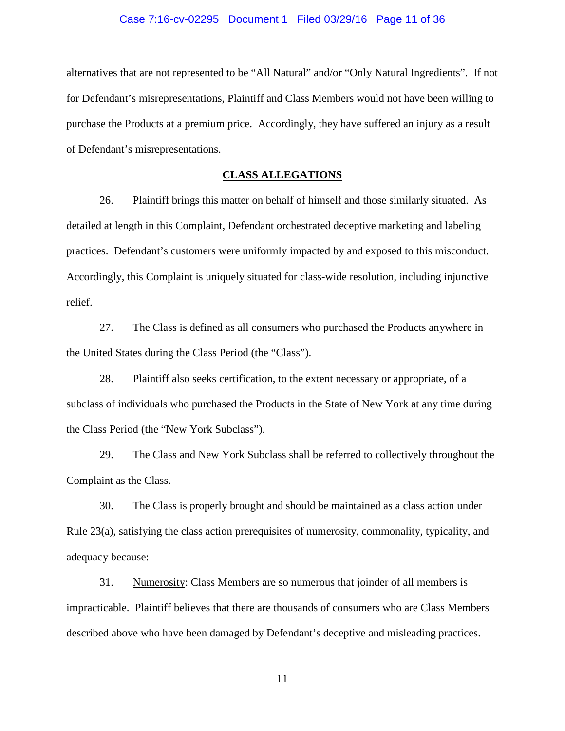#### Case 7:16-cv-02295 Document 1 Filed 03/29/16 Page 11 of 36

alternatives that are not represented to be "All Natural" and/or "Only Natural Ingredients". If not for Defendant's misrepresentations, Plaintiff and Class Members would not have been willing to purchase the Products at a premium price. Accordingly, they have suffered an injury as a result of Defendant's misrepresentations.

## **CLASS ALLEGATIONS**

26. Plaintiff brings this matter on behalf of himself and those similarly situated. As detailed at length in this Complaint, Defendant orchestrated deceptive marketing and labeling practices. Defendant's customers were uniformly impacted by and exposed to this misconduct. Accordingly, this Complaint is uniquely situated for class-wide resolution, including injunctive relief.

27. The Class is defined as all consumers who purchased the Products anywhere in the United States during the Class Period (the "Class").

28. Plaintiff also seeks certification, to the extent necessary or appropriate, of a subclass of individuals who purchased the Products in the State of New York at any time during the Class Period (the "New York Subclass").

29. The Class and New York Subclass shall be referred to collectively throughout the Complaint as the Class.

30. The Class is properly brought and should be maintained as a class action under Rule 23(a), satisfying the class action prerequisites of numerosity, commonality, typicality, and adequacy because:

31. Numerosity: Class Members are so numerous that joinder of all members is impracticable. Plaintiff believes that there are thousands of consumers who are Class Members described above who have been damaged by Defendant's deceptive and misleading practices.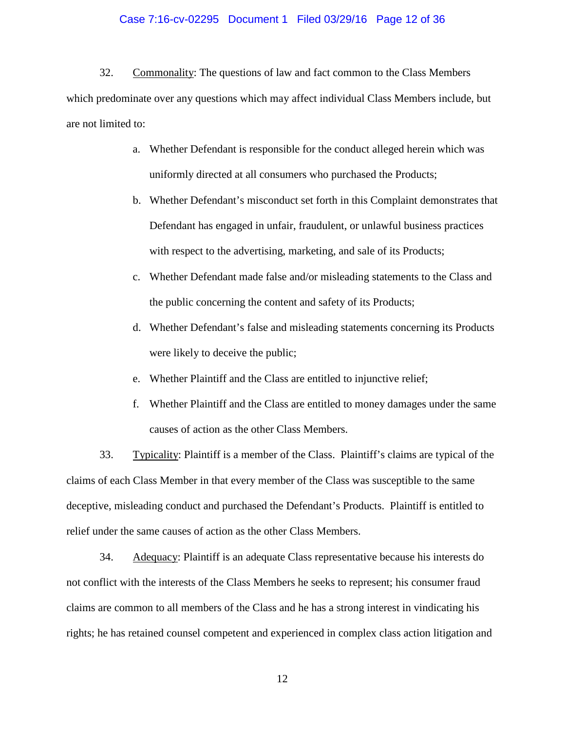#### Case 7:16-cv-02295 Document 1 Filed 03/29/16 Page 12 of 36

32. Commonality: The questions of law and fact common to the Class Members which predominate over any questions which may affect individual Class Members include, but are not limited to:

- a. Whether Defendant is responsible for the conduct alleged herein which was uniformly directed at all consumers who purchased the Products;
- b. Whether Defendant's misconduct set forth in this Complaint demonstrates that Defendant has engaged in unfair, fraudulent, or unlawful business practices with respect to the advertising, marketing, and sale of its Products;
- c. Whether Defendant made false and/or misleading statements to the Class and the public concerning the content and safety of its Products;
- d. Whether Defendant's false and misleading statements concerning its Products were likely to deceive the public;
- e. Whether Plaintiff and the Class are entitled to injunctive relief;
- f. Whether Plaintiff and the Class are entitled to money damages under the same causes of action as the other Class Members.

33. Typicality: Plaintiff is a member of the Class. Plaintiff's claims are typical of the claims of each Class Member in that every member of the Class was susceptible to the same deceptive, misleading conduct and purchased the Defendant's Products. Plaintiff is entitled to relief under the same causes of action as the other Class Members.

34. Adequacy: Plaintiff is an adequate Class representative because his interests do not conflict with the interests of the Class Members he seeks to represent; his consumer fraud claims are common to all members of the Class and he has a strong interest in vindicating his rights; he has retained counsel competent and experienced in complex class action litigation and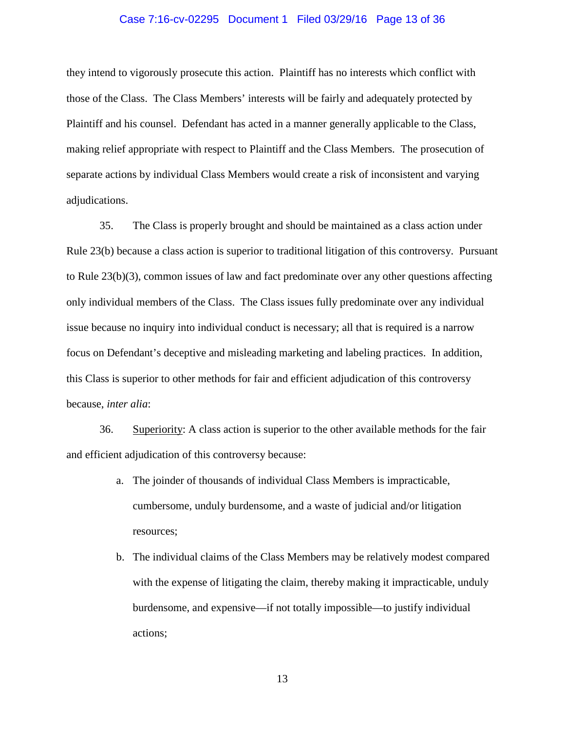#### Case 7:16-cv-02295 Document 1 Filed 03/29/16 Page 13 of 36

they intend to vigorously prosecute this action. Plaintiff has no interests which conflict with those of the Class. The Class Members' interests will be fairly and adequately protected by Plaintiff and his counsel. Defendant has acted in a manner generally applicable to the Class, making relief appropriate with respect to Plaintiff and the Class Members. The prosecution of separate actions by individual Class Members would create a risk of inconsistent and varying adjudications.

35. The Class is properly brought and should be maintained as a class action under Rule 23(b) because a class action is superior to traditional litigation of this controversy. Pursuant to Rule 23(b)(3), common issues of law and fact predominate over any other questions affecting only individual members of the Class. The Class issues fully predominate over any individual issue because no inquiry into individual conduct is necessary; all that is required is a narrow focus on Defendant's deceptive and misleading marketing and labeling practices. In addition, this Class is superior to other methods for fair and efficient adjudication of this controversy because, *inter alia*:

36. Superiority: A class action is superior to the other available methods for the fair and efficient adjudication of this controversy because:

- a. The joinder of thousands of individual Class Members is impracticable, cumbersome, unduly burdensome, and a waste of judicial and/or litigation resources;
- b. The individual claims of the Class Members may be relatively modest compared with the expense of litigating the claim, thereby making it impracticable, unduly burdensome, and expensive—if not totally impossible—to justify individual actions;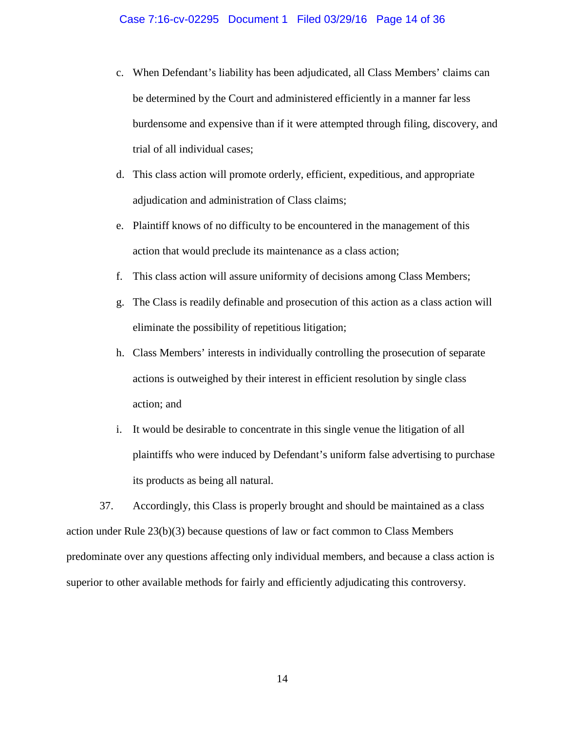### Case 7:16-cv-02295 Document 1 Filed 03/29/16 Page 14 of 36

- c. When Defendant's liability has been adjudicated, all Class Members' claims can be determined by the Court and administered efficiently in a manner far less burdensome and expensive than if it were attempted through filing, discovery, and trial of all individual cases;
- d. This class action will promote orderly, efficient, expeditious, and appropriate adjudication and administration of Class claims;
- e. Plaintiff knows of no difficulty to be encountered in the management of this action that would preclude its maintenance as a class action;
- f. This class action will assure uniformity of decisions among Class Members;
- g. The Class is readily definable and prosecution of this action as a class action will eliminate the possibility of repetitious litigation;
- h. Class Members' interests in individually controlling the prosecution of separate actions is outweighed by their interest in efficient resolution by single class action; and
- i. It would be desirable to concentrate in this single venue the litigation of all plaintiffs who were induced by Defendant's uniform false advertising to purchase its products as being all natural.

37. Accordingly, this Class is properly brought and should be maintained as a class action under Rule 23(b)(3) because questions of law or fact common to Class Members predominate over any questions affecting only individual members, and because a class action is superior to other available methods for fairly and efficiently adjudicating this controversy.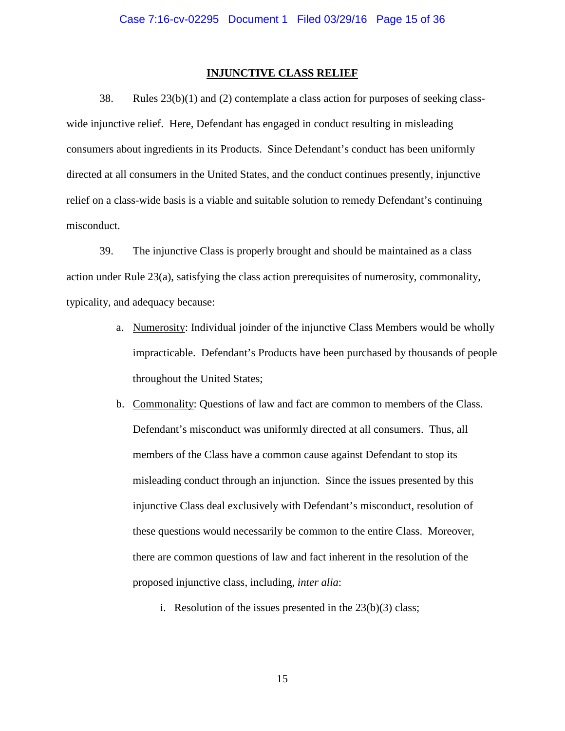#### **INJUNCTIVE CLASS RELIEF**

38. Rules 23(b)(1) and (2) contemplate a class action for purposes of seeking classwide injunctive relief. Here, Defendant has engaged in conduct resulting in misleading consumers about ingredients in its Products. Since Defendant's conduct has been uniformly directed at all consumers in the United States, and the conduct continues presently, injunctive relief on a class-wide basis is a viable and suitable solution to remedy Defendant's continuing misconduct.

39. The injunctive Class is properly brought and should be maintained as a class action under Rule 23(a), satisfying the class action prerequisites of numerosity, commonality, typicality, and adequacy because:

- a. Numerosity: Individual joinder of the injunctive Class Members would be wholly impracticable. Defendant's Products have been purchased by thousands of people throughout the United States;
- b. Commonality: Questions of law and fact are common to members of the Class. Defendant's misconduct was uniformly directed at all consumers. Thus, all members of the Class have a common cause against Defendant to stop its misleading conduct through an injunction. Since the issues presented by this injunctive Class deal exclusively with Defendant's misconduct, resolution of these questions would necessarily be common to the entire Class. Moreover, there are common questions of law and fact inherent in the resolution of the proposed injunctive class, including, *inter alia*:
	- i. Resolution of the issues presented in the  $23(b)(3)$  class;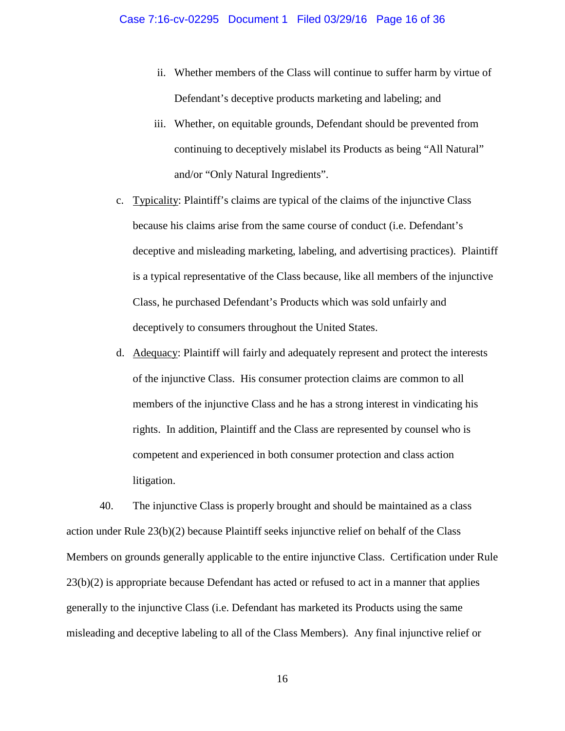- ii. Whether members of the Class will continue to suffer harm by virtue of Defendant's deceptive products marketing and labeling; and
- iii. Whether, on equitable grounds, Defendant should be prevented from continuing to deceptively mislabel its Products as being "All Natural" and/or "Only Natural Ingredients".
- c. Typicality: Plaintiff's claims are typical of the claims of the injunctive Class because his claims arise from the same course of conduct (i.e. Defendant's deceptive and misleading marketing, labeling, and advertising practices). Plaintiff is a typical representative of the Class because, like all members of the injunctive Class, he purchased Defendant's Products which was sold unfairly and deceptively to consumers throughout the United States.
- d. Adequacy: Plaintiff will fairly and adequately represent and protect the interests of the injunctive Class. His consumer protection claims are common to all members of the injunctive Class and he has a strong interest in vindicating his rights. In addition, Plaintiff and the Class are represented by counsel who is competent and experienced in both consumer protection and class action litigation.

40. The injunctive Class is properly brought and should be maintained as a class action under Rule 23(b)(2) because Plaintiff seeks injunctive relief on behalf of the Class Members on grounds generally applicable to the entire injunctive Class. Certification under Rule 23(b)(2) is appropriate because Defendant has acted or refused to act in a manner that applies generally to the injunctive Class (i.e. Defendant has marketed its Products using the same misleading and deceptive labeling to all of the Class Members). Any final injunctive relief or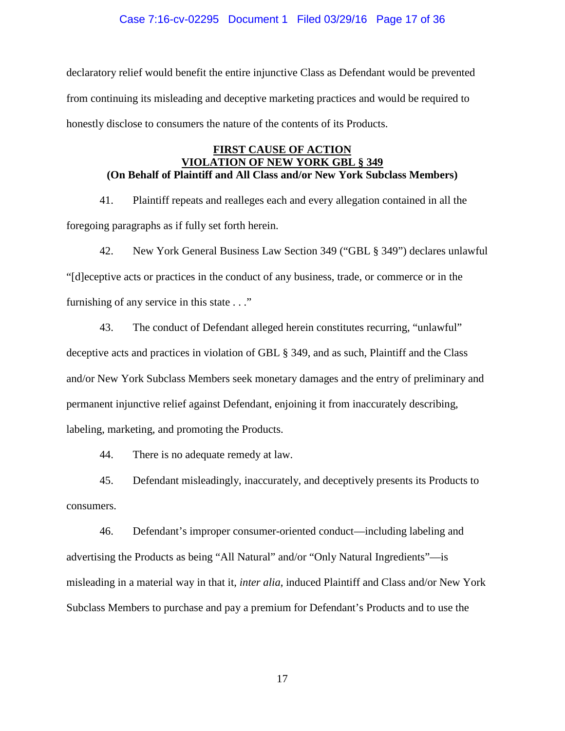## Case 7:16-cv-02295 Document 1 Filed 03/29/16 Page 17 of 36

declaratory relief would benefit the entire injunctive Class as Defendant would be prevented from continuing its misleading and deceptive marketing practices and would be required to honestly disclose to consumers the nature of the contents of its Products.

## **FIRST CAUSE OF ACTION VIOLATION OF NEW YORK GBL § 349 (On Behalf of Plaintiff and All Class and/or New York Subclass Members)**

41. Plaintiff repeats and realleges each and every allegation contained in all the foregoing paragraphs as if fully set forth herein.

42. New York General Business Law Section 349 ("GBL § 349") declares unlawful "[d]eceptive acts or practices in the conduct of any business, trade, or commerce or in the furnishing of any service in this state . . ."

43. The conduct of Defendant alleged herein constitutes recurring, "unlawful" deceptive acts and practices in violation of GBL § 349, and as such, Plaintiff and the Class and/or New York Subclass Members seek monetary damages and the entry of preliminary and permanent injunctive relief against Defendant, enjoining it from inaccurately describing, labeling, marketing, and promoting the Products.

44. There is no adequate remedy at law.

45. Defendant misleadingly, inaccurately, and deceptively presents its Products to consumers.

46. Defendant's improper consumer-oriented conduct—including labeling and advertising the Products as being "All Natural" and/or "Only Natural Ingredients"—is misleading in a material way in that it, *inter alia*, induced Plaintiff and Class and/or New York Subclass Members to purchase and pay a premium for Defendant's Products and to use the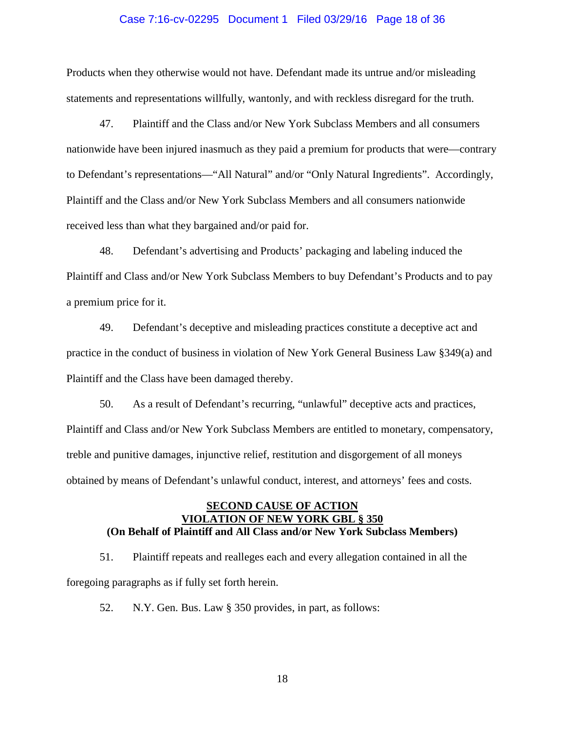### Case 7:16-cv-02295 Document 1 Filed 03/29/16 Page 18 of 36

Products when they otherwise would not have. Defendant made its untrue and/or misleading statements and representations willfully, wantonly, and with reckless disregard for the truth.

47. Plaintiff and the Class and/or New York Subclass Members and all consumers nationwide have been injured inasmuch as they paid a premium for products that were—contrary to Defendant's representations—"All Natural" and/or "Only Natural Ingredients". Accordingly, Plaintiff and the Class and/or New York Subclass Members and all consumers nationwide received less than what they bargained and/or paid for.

48. Defendant's advertising and Products' packaging and labeling induced the Plaintiff and Class and/or New York Subclass Members to buy Defendant's Products and to pay a premium price for it.

49. Defendant's deceptive and misleading practices constitute a deceptive act and practice in the conduct of business in violation of New York General Business Law §349(a) and Plaintiff and the Class have been damaged thereby.

50. As a result of Defendant's recurring, "unlawful" deceptive acts and practices, Plaintiff and Class and/or New York Subclass Members are entitled to monetary, compensatory, treble and punitive damages, injunctive relief, restitution and disgorgement of all moneys obtained by means of Defendant's unlawful conduct, interest, and attorneys' fees and costs.

## **SECOND CAUSE OF ACTION VIOLATION OF NEW YORK GBL § 350 (On Behalf of Plaintiff and All Class and/or New York Subclass Members)**

51. Plaintiff repeats and realleges each and every allegation contained in all the foregoing paragraphs as if fully set forth herein.

52. N.Y. Gen. Bus. Law § 350 provides, in part, as follows: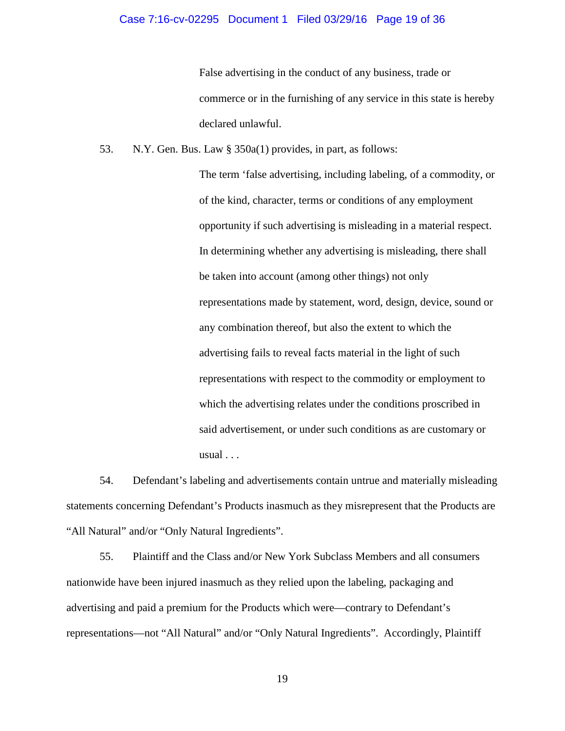### Case 7:16-cv-02295 Document 1 Filed 03/29/16 Page 19 of 36

False advertising in the conduct of any business, trade or commerce or in the furnishing of any service in this state is hereby declared unlawful.

53. N.Y. Gen. Bus. Law § 350a(1) provides, in part, as follows:

The term 'false advertising, including labeling, of a commodity, or of the kind, character, terms or conditions of any employment opportunity if such advertising is misleading in a material respect. In determining whether any advertising is misleading, there shall be taken into account (among other things) not only representations made by statement, word, design, device, sound or any combination thereof, but also the extent to which the advertising fails to reveal facts material in the light of such representations with respect to the commodity or employment to which the advertising relates under the conditions proscribed in said advertisement, or under such conditions as are customary or usual . . .

54. Defendant's labeling and advertisements contain untrue and materially misleading statements concerning Defendant's Products inasmuch as they misrepresent that the Products are "All Natural" and/or "Only Natural Ingredients".

55. Plaintiff and the Class and/or New York Subclass Members and all consumers nationwide have been injured inasmuch as they relied upon the labeling, packaging and advertising and paid a premium for the Products which were—contrary to Defendant's representations—not "All Natural" and/or "Only Natural Ingredients". Accordingly, Plaintiff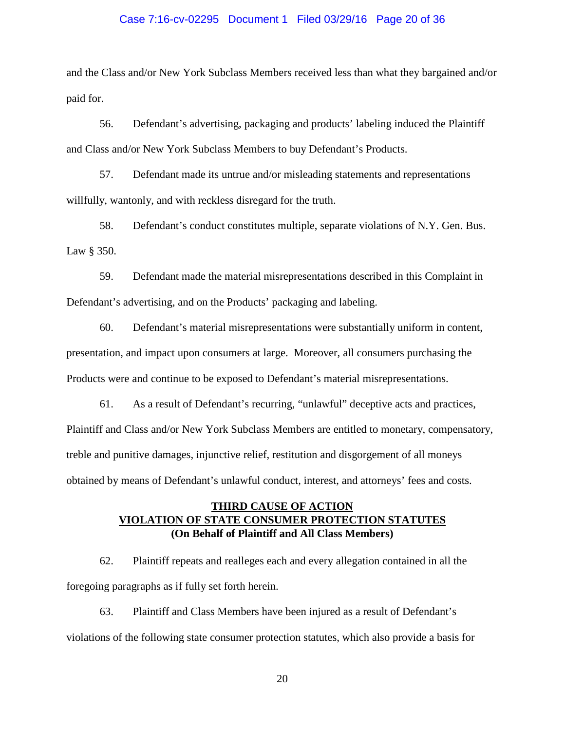### Case 7:16-cv-02295 Document 1 Filed 03/29/16 Page 20 of 36

and the Class and/or New York Subclass Members received less than what they bargained and/or paid for.

56. Defendant's advertising, packaging and products' labeling induced the Plaintiff and Class and/or New York Subclass Members to buy Defendant's Products.

57. Defendant made its untrue and/or misleading statements and representations willfully, wantonly, and with reckless disregard for the truth.

58. Defendant's conduct constitutes multiple, separate violations of N.Y. Gen. Bus. Law § 350.

59. Defendant made the material misrepresentations described in this Complaint in Defendant's advertising, and on the Products' packaging and labeling.

60. Defendant's material misrepresentations were substantially uniform in content, presentation, and impact upon consumers at large. Moreover, all consumers purchasing the Products were and continue to be exposed to Defendant's material misrepresentations.

61. As a result of Defendant's recurring, "unlawful" deceptive acts and practices, Plaintiff and Class and/or New York Subclass Members are entitled to monetary, compensatory, treble and punitive damages, injunctive relief, restitution and disgorgement of all moneys obtained by means of Defendant's unlawful conduct, interest, and attorneys' fees and costs.

# **THIRD CAUSE OF ACTION VIOLATION OF STATE CONSUMER PROTECTION STATUTES (On Behalf of Plaintiff and All Class Members)**

62. Plaintiff repeats and realleges each and every allegation contained in all the foregoing paragraphs as if fully set forth herein.

63. Plaintiff and Class Members have been injured as a result of Defendant's violations of the following state consumer protection statutes, which also provide a basis for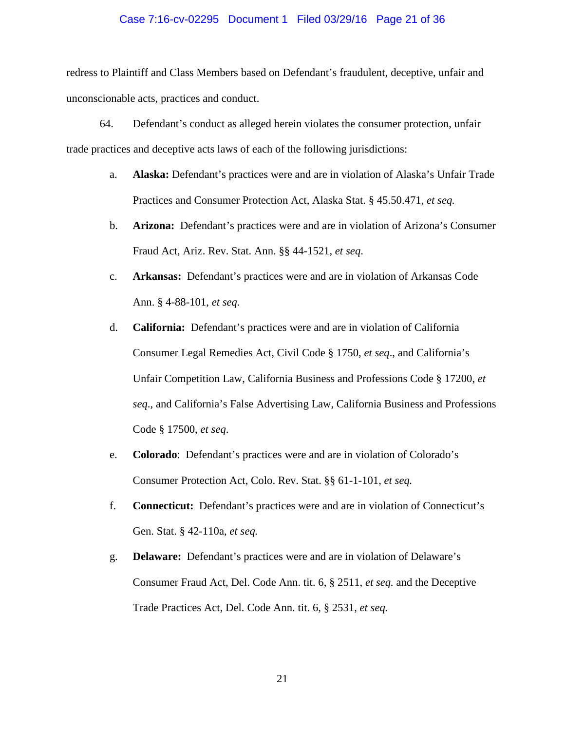### Case 7:16-cv-02295 Document 1 Filed 03/29/16 Page 21 of 36

redress to Plaintiff and Class Members based on Defendant's fraudulent, deceptive, unfair and unconscionable acts, practices and conduct.

- 64. Defendant's conduct as alleged herein violates the consumer protection, unfair trade practices and deceptive acts laws of each of the following jurisdictions:
	- a. **Alaska:** Defendant's practices were and are in violation of Alaska's Unfair Trade Practices and Consumer Protection Act, Alaska Stat. § 45.50.471, *et seq.*
	- b. **Arizona:** Defendant's practices were and are in violation of Arizona's Consumer Fraud Act, Ariz. Rev. Stat. Ann. §§ 44-1521, *et seq*.
	- c. **Arkansas:** Defendant's practices were and are in violation of Arkansas Code Ann. § 4-88-101, *et seq.*
	- d. **California:** Defendant's practices were and are in violation of California Consumer Legal Remedies Act, Civil Code § 1750, *et seq*., and California's Unfair Competition Law, California Business and Professions Code § 17200, *et seq*., and California's False Advertising Law, California Business and Professions Code § 17500, *et seq*.
	- e. **Colorado**: Defendant's practices were and are in violation of Colorado's Consumer Protection Act, Colo. Rev. Stat. §§ 61-1-101, *et seq.*
	- f. **Connecticut:** Defendant's practices were and are in violation of Connecticut's Gen. Stat. § 42-110a, *et seq.*
	- g. **Delaware:** Defendant's practices were and are in violation of Delaware's Consumer Fraud Act, Del. Code Ann. tit. 6, § 2511, *et seq.* and the Deceptive Trade Practices Act, Del. Code Ann. tit. 6, § 2531, *et seq.*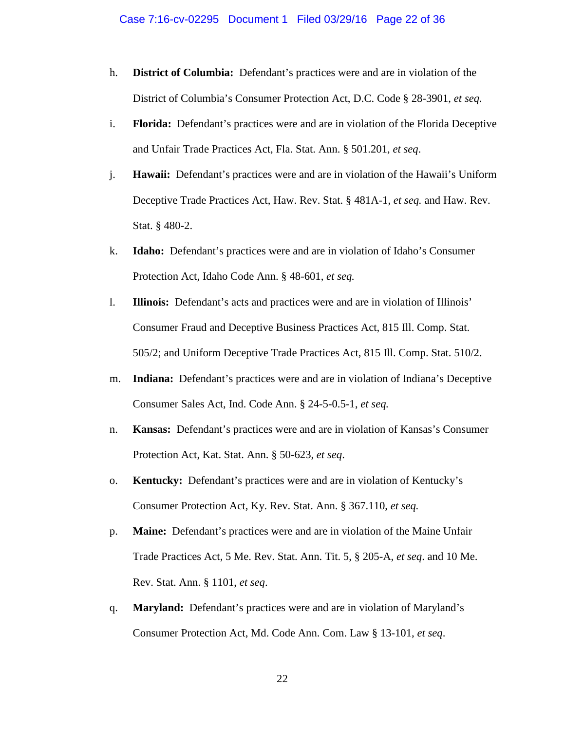- h. **District of Columbia:** Defendant's practices were and are in violation of the District of Columbia's Consumer Protection Act, D.C. Code § 28-3901, *et seq.*
- i. **Florida:** Defendant's practices were and are in violation of the Florida Deceptive and Unfair Trade Practices Act, Fla. Stat. Ann. § 501.201, *et seq*.
- j. **Hawaii:** Defendant's practices were and are in violation of the Hawaii's Uniform Deceptive Trade Practices Act, Haw. Rev. Stat. § 481A-1, *et seq.* and Haw. Rev. Stat. § 480-2.
- k. **Idaho:** Defendant's practices were and are in violation of Idaho's Consumer Protection Act, Idaho Code Ann. § 48-601, *et seq.*
- l. **Illinois:** Defendant's acts and practices were and are in violation of Illinois' Consumer Fraud and Deceptive Business Practices Act, 815 Ill. Comp. Stat. 505/2; and Uniform Deceptive Trade Practices Act, 815 Ill. Comp. Stat. 510/2.
- m. **Indiana:** Defendant's practices were and are in violation of Indiana's Deceptive Consumer Sales Act, Ind. Code Ann. § 24-5-0.5-1, *et seq.*
- n. **Kansas:** Defendant's practices were and are in violation of Kansas's Consumer Protection Act, Kat. Stat. Ann. § 50-623, *et seq*.
- o. **Kentucky:** Defendant's practices were and are in violation of Kentucky's Consumer Protection Act, Ky. Rev. Stat. Ann. § 367.110, *et seq.*
- p. **Maine:** Defendant's practices were and are in violation of the Maine Unfair Trade Practices Act, 5 Me. Rev. Stat. Ann. Tit. 5, § 205-A, *et seq*. and 10 Me. Rev. Stat. Ann. § 1101, *et seq*.
- q. **Maryland:** Defendant's practices were and are in violation of Maryland's Consumer Protection Act, Md. Code Ann. Com. Law § 13-101, *et seq*.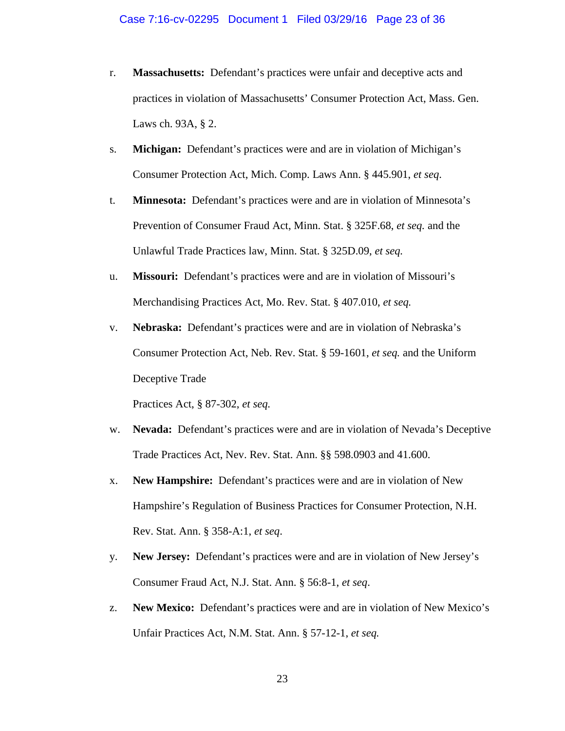- r. **Massachusetts:** Defendant's practices were unfair and deceptive acts and practices in violation of Massachusetts' Consumer Protection Act, Mass. Gen. Laws ch. 93A, § 2.
- s. **Michigan:** Defendant's practices were and are in violation of Michigan's Consumer Protection Act, Mich. Comp. Laws Ann. § 445.901, *et seq*.
- t. **Minnesota:** Defendant's practices were and are in violation of Minnesota's Prevention of Consumer Fraud Act, Minn. Stat. § 325F.68, *et seq.* and the Unlawful Trade Practices law, Minn. Stat. § 325D.09, *et seq.*
- u. **Missouri:** Defendant's practices were and are in violation of Missouri's Merchandising Practices Act, Mo. Rev. Stat. § 407.010, *et seq.*
- v. **Nebraska:** Defendant's practices were and are in violation of Nebraska's Consumer Protection Act, Neb. Rev. Stat. § 59-1601, *et seq.* and the Uniform Deceptive Trade

Practices Act, § 87-302, *et seq.*

- w. **Nevada:** Defendant's practices were and are in violation of Nevada's Deceptive Trade Practices Act, Nev. Rev. Stat. Ann. §§ 598.0903 and 41.600.
- x. **New Hampshire:** Defendant's practices were and are in violation of New Hampshire's Regulation of Business Practices for Consumer Protection, N.H. Rev. Stat. Ann. § 358-A:1, *et seq*.
- y. **New Jersey:** Defendant's practices were and are in violation of New Jersey's Consumer Fraud Act, N.J. Stat. Ann. § 56:8-1, *et seq*.
- z. **New Mexico:** Defendant's practices were and are in violation of New Mexico's Unfair Practices Act, N.M. Stat. Ann. § 57-12-1, *et seq.*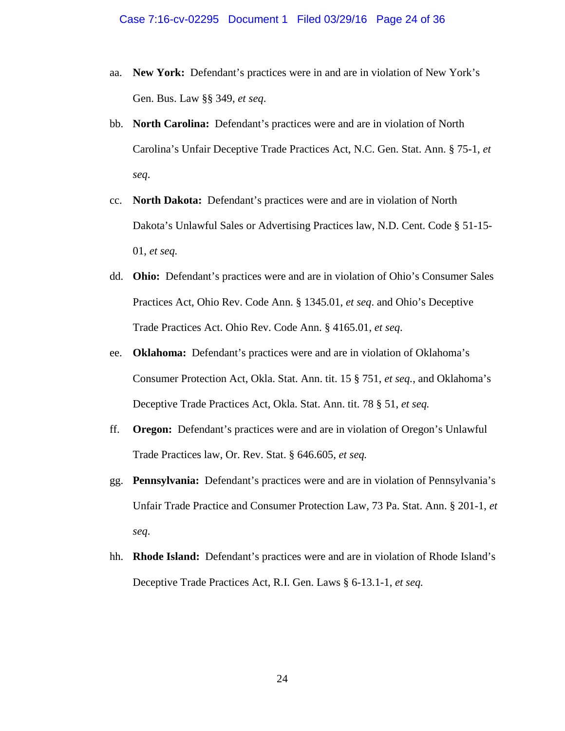- aa. **New York:** Defendant's practices were in and are in violation of New York's Gen. Bus. Law §§ 349, *et seq*.
- bb. **North Carolina:** Defendant's practices were and are in violation of North Carolina's Unfair Deceptive Trade Practices Act, N.C. Gen. Stat. Ann. § 75-1, *et seq*.
- cc. **North Dakota:** Defendant's practices were and are in violation of North Dakota's Unlawful Sales or Advertising Practices law, N.D. Cent. Code § 51-15- 01, *et seq.*
- dd. **Ohio:** Defendant's practices were and are in violation of Ohio's Consumer Sales Practices Act, Ohio Rev. Code Ann. § 1345.01, *et seq*. and Ohio's Deceptive Trade Practices Act. Ohio Rev. Code Ann. § 4165.01, *et seq*.
- ee. **Oklahoma:** Defendant's practices were and are in violation of Oklahoma's Consumer Protection Act, Okla. Stat. Ann. tit. 15 § 751, *et seq.*, and Oklahoma's Deceptive Trade Practices Act, Okla. Stat. Ann. tit. 78 § 51, *et seq.*
- ff. **Oregon:** Defendant's practices were and are in violation of Oregon's Unlawful Trade Practices law, Or. Rev. Stat. § 646.605, *et seq.*
- gg. **Pennsylvania:** Defendant's practices were and are in violation of Pennsylvania's Unfair Trade Practice and Consumer Protection Law, 73 Pa. Stat. Ann. § 201-1, *et seq*.
- hh. **Rhode Island:** Defendant's practices were and are in violation of Rhode Island's Deceptive Trade Practices Act, R.I. Gen. Laws § 6-13.1-1, *et seq.*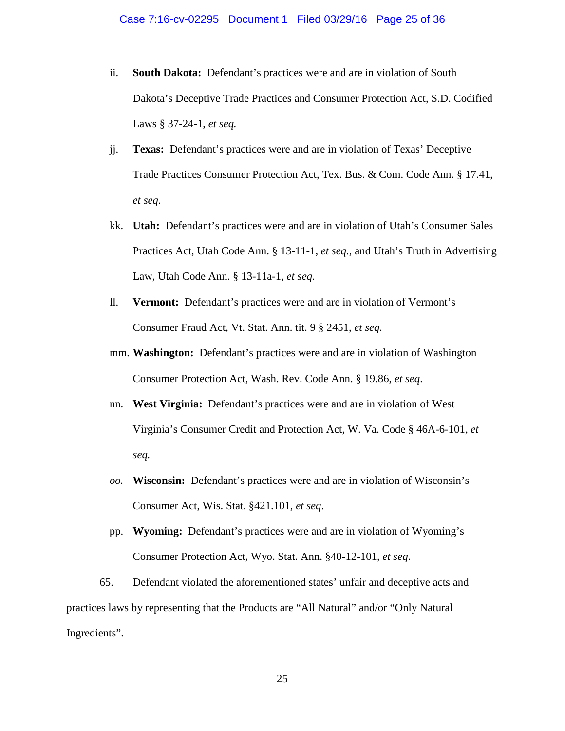- ii. **South Dakota:** Defendant's practices were and are in violation of South Dakota's Deceptive Trade Practices and Consumer Protection Act, S.D. Codified Laws § 37-24-1, *et seq.*
- jj. **Texas:** Defendant's practices were and are in violation of Texas' Deceptive Trade Practices Consumer Protection Act, Tex. Bus. & Com. Code Ann. § 17.41, *et seq.*
- kk. **Utah:** Defendant's practices were and are in violation of Utah's Consumer Sales Practices Act, Utah Code Ann. § 13-11-1, *et seq.*, and Utah's Truth in Advertising Law, Utah Code Ann. § 13-11a-1, *et seq.*
- ll. **Vermont:** Defendant's practices were and are in violation of Vermont's Consumer Fraud Act, Vt. Stat. Ann. tit. 9 § 2451, *et seq.*
- mm. **Washington:** Defendant's practices were and are in violation of Washington Consumer Protection Act, Wash. Rev. Code Ann. § 19.86, *et seq*.
- nn. **West Virginia:** Defendant's practices were and are in violation of West Virginia's Consumer Credit and Protection Act, W. Va. Code § 46A-6-101, *et seq.*
- *oo.* **Wisconsin:** Defendant's practices were and are in violation of Wisconsin's Consumer Act, Wis. Stat. §421.101, *et seq*.
- pp. **Wyoming:** Defendant's practices were and are in violation of Wyoming's Consumer Protection Act, Wyo. Stat. Ann. §40-12-101*, et seq*.

65. Defendant violated the aforementioned states' unfair and deceptive acts and practices laws by representing that the Products are "All Natural" and/or "Only Natural Ingredients".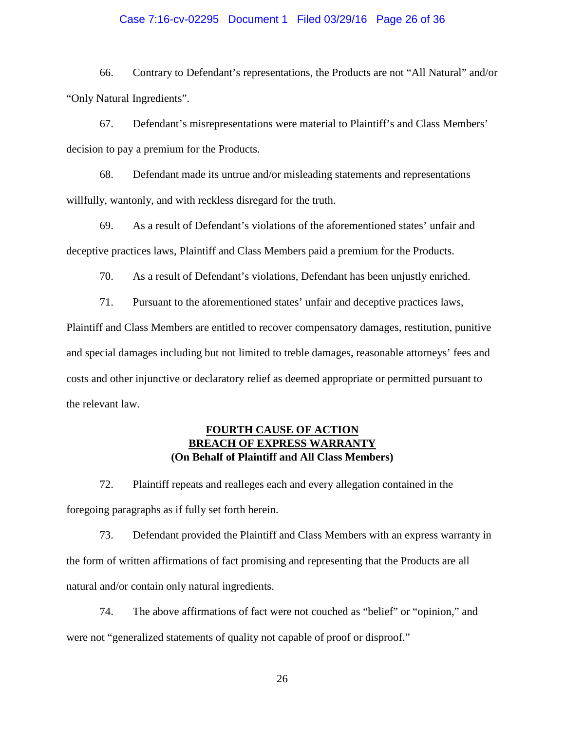### Case 7:16-cv-02295 Document 1 Filed 03/29/16 Page 26 of 36

66. Contrary to Defendant's representations, the Products are not "All Natural" and/or "Only Natural Ingredients".

67. Defendant's misrepresentations were material to Plaintiff's and Class Members' decision to pay a premium for the Products.

68. Defendant made its untrue and/or misleading statements and representations willfully, wantonly, and with reckless disregard for the truth.

69. As a result of Defendant's violations of the aforementioned states' unfair and deceptive practices laws, Plaintiff and Class Members paid a premium for the Products.

70. As a result of Defendant's violations, Defendant has been unjustly enriched.

71. Pursuant to the aforementioned states' unfair and deceptive practices laws, Plaintiff and Class Members are entitled to recover compensatory damages, restitution, punitive and special damages including but not limited to treble damages, reasonable attorneys' fees and costs and other injunctive or declaratory relief as deemed appropriate or permitted pursuant to the relevant law.

# **FOURTH CAUSE OF ACTION BREACH OF EXPRESS WARRANTY (On Behalf of Plaintiff and All Class Members)**

72. Plaintiff repeats and realleges each and every allegation contained in the foregoing paragraphs as if fully set forth herein.

73. Defendant provided the Plaintiff and Class Members with an express warranty in the form of written affirmations of fact promising and representing that the Products are all natural and/or contain only natural ingredients.

74. The above affirmations of fact were not couched as "belief" or "opinion," and were not "generalized statements of quality not capable of proof or disproof."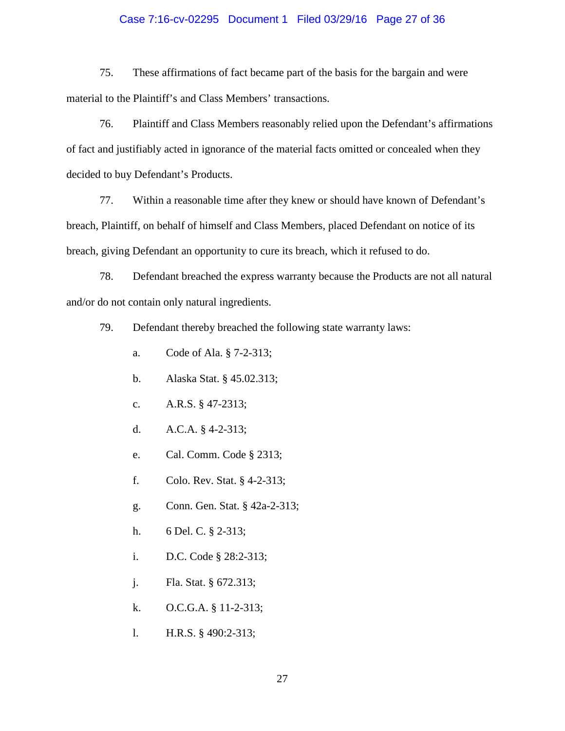### Case 7:16-cv-02295 Document 1 Filed 03/29/16 Page 27 of 36

75. These affirmations of fact became part of the basis for the bargain and were material to the Plaintiff's and Class Members' transactions.

76. Plaintiff and Class Members reasonably relied upon the Defendant's affirmations of fact and justifiably acted in ignorance of the material facts omitted or concealed when they decided to buy Defendant's Products.

77. Within a reasonable time after they knew or should have known of Defendant's breach, Plaintiff, on behalf of himself and Class Members, placed Defendant on notice of its breach, giving Defendant an opportunity to cure its breach, which it refused to do.

78. Defendant breached the express warranty because the Products are not all natural and/or do not contain only natural ingredients.

79. Defendant thereby breached the following state warranty laws:

- a. Code of Ala. § 7-2-313;
- b. Alaska Stat. § 45.02.313;
- c. A.R.S. § 47-2313;
- d. A.C.A. § 4-2-313;
- e. Cal. Comm. Code § 2313;
- f. Colo. Rev. Stat. § 4-2-313;
- g. Conn. Gen. Stat. § 42a-2-313;
- h. 6 Del. C. § 2-313;
- i. D.C. Code § 28:2-313;
- j. Fla. Stat. § 672.313;
- k. O.C.G.A. § 11-2-313;
- l. H.R.S. § 490:2-313;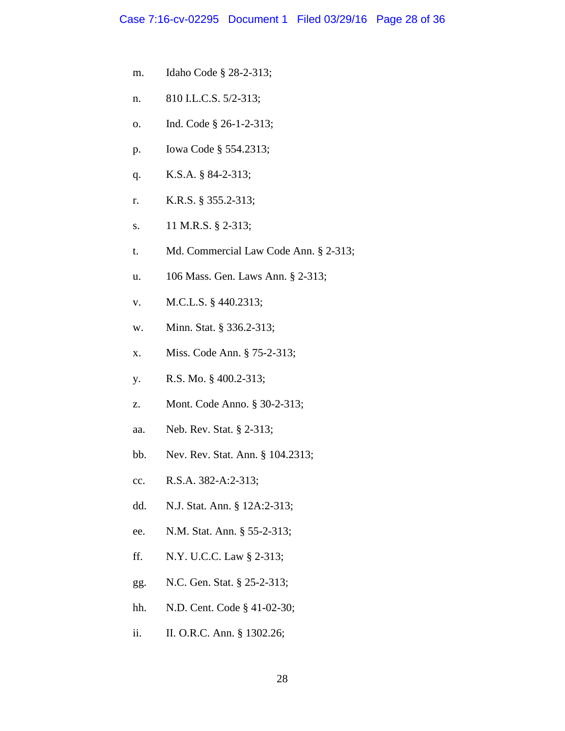- m. Idaho Code § 28-2-313;
- n. 810 I.L.C.S. 5/2-313;
- o. Ind. Code § 26-1-2-313;
- p. Iowa Code § 554.2313;
- q. K.S.A. § 84-2-313;
- r. K.R.S. § 355.2-313;
- s. 11 M.R.S. § 2-313;
- t. Md. Commercial Law Code Ann. § 2-313;
- u. 106 Mass. Gen. Laws Ann. § 2-313;
- v. M.C.L.S. § 440.2313;
- w. Minn. Stat. § 336.2-313;
- x. Miss. Code Ann. § 75-2-313;
- y. R.S. Mo. § 400.2-313;
- z. Mont. Code Anno. § 30-2-313;
- aa. Neb. Rev. Stat. § 2-313;
- bb. Nev. Rev. Stat. Ann. § 104.2313;
- cc. R.S.A. 382-A:2-313;
- dd. N.J. Stat. Ann. § 12A:2-313;
- ee. N.M. Stat. Ann. § 55-2-313;
- ff. N.Y. U.C.C. Law § 2-313;
- gg. N.C. Gen. Stat. § 25-2-313;
- hh. N.D. Cent. Code § 41-02-30;
- ii. II. O.R.C. Ann. § 1302.26;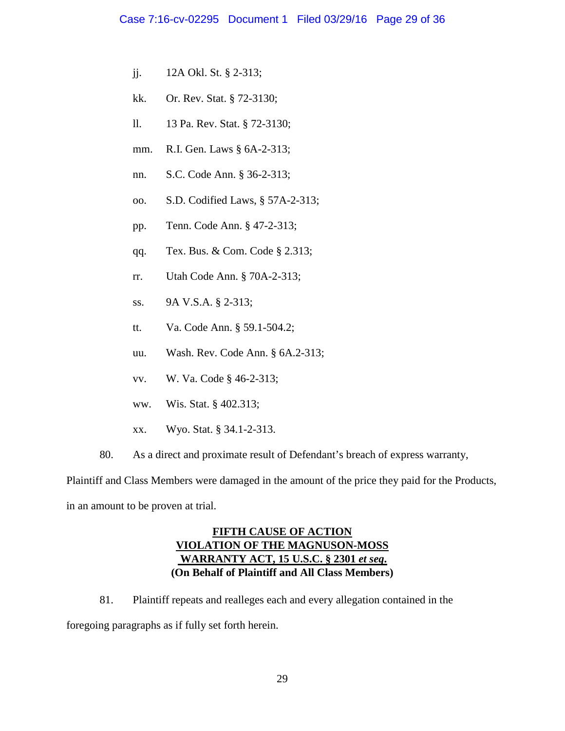- jj. 12A Okl. St. § 2-313;
- kk. Or. Rev. Stat. § 72-3130;
- ll. 13 Pa. Rev. Stat. § 72-3130;
- mm. R.I. Gen. Laws § 6A-2-313;
- nn. S.C. Code Ann. § 36-2-313;
- oo. S.D. Codified Laws, § 57A-2-313;
- pp. Tenn. Code Ann. § 47-2-313;
- qq. Tex. Bus. & Com. Code § 2.313;
- rr. Utah Code Ann. § 70A-2-313;
- ss. 9A V.S.A. § 2-313;
- tt. Va. Code Ann. § 59.1-504.2;
- uu. Wash. Rev. Code Ann. § 6A.2-313;
- vv. W. Va. Code § 46-2-313;
- ww. Wis. Stat. § 402.313;
- xx. Wyo. Stat. § 34.1-2-313.
- 80. As a direct and proximate result of Defendant's breach of express warranty,

Plaintiff and Class Members were damaged in the amount of the price they paid for the Products, in an amount to be proven at trial.

# **FIFTH CAUSE OF ACTION VIOLATION OF THE MAGNUSON-MOSS WARRANTY ACT, 15 U.S.C. § 2301** *et seq***. (On Behalf of Plaintiff and All Class Members)**

81. Plaintiff repeats and realleges each and every allegation contained in the

foregoing paragraphs as if fully set forth herein.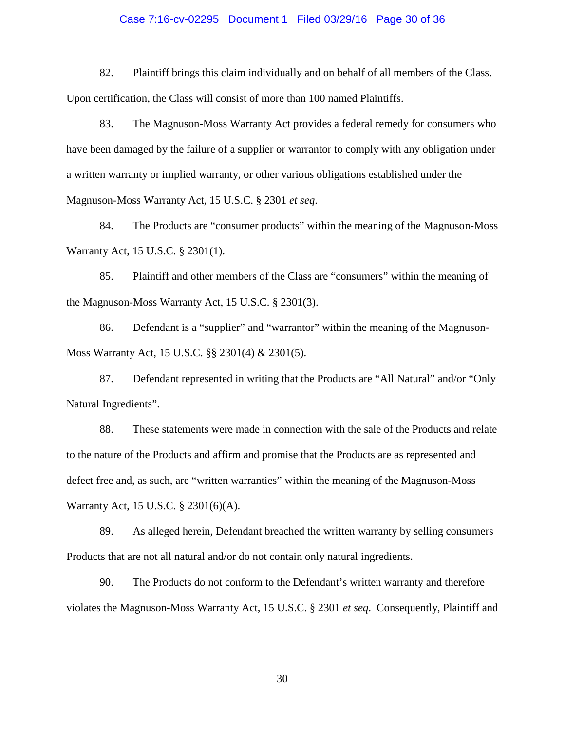### Case 7:16-cv-02295 Document 1 Filed 03/29/16 Page 30 of 36

82. Plaintiff brings this claim individually and on behalf of all members of the Class. Upon certification, the Class will consist of more than 100 named Plaintiffs.

83. The Magnuson-Moss Warranty Act provides a federal remedy for consumers who have been damaged by the failure of a supplier or warrantor to comply with any obligation under a written warranty or implied warranty, or other various obligations established under the Magnuson-Moss Warranty Act, 15 U.S.C. § 2301 *et seq*.

84. The Products are "consumer products" within the meaning of the Magnuson-Moss Warranty Act, 15 U.S.C. § 2301(1).

85. Plaintiff and other members of the Class are "consumers" within the meaning of the Magnuson-Moss Warranty Act, 15 U.S.C. § 2301(3).

86. Defendant is a "supplier" and "warrantor" within the meaning of the Magnuson-Moss Warranty Act, 15 U.S.C. §§ 2301(4) & 2301(5).

87. Defendant represented in writing that the Products are "All Natural" and/or "Only Natural Ingredients".

88. These statements were made in connection with the sale of the Products and relate to the nature of the Products and affirm and promise that the Products are as represented and defect free and, as such, are "written warranties" within the meaning of the Magnuson-Moss Warranty Act, 15 U.S.C. § 2301(6)(A).

89. As alleged herein, Defendant breached the written warranty by selling consumers Products that are not all natural and/or do not contain only natural ingredients.

90. The Products do not conform to the Defendant's written warranty and therefore violates the Magnuson-Moss Warranty Act, 15 U.S.C. § 2301 *et seq*. Consequently, Plaintiff and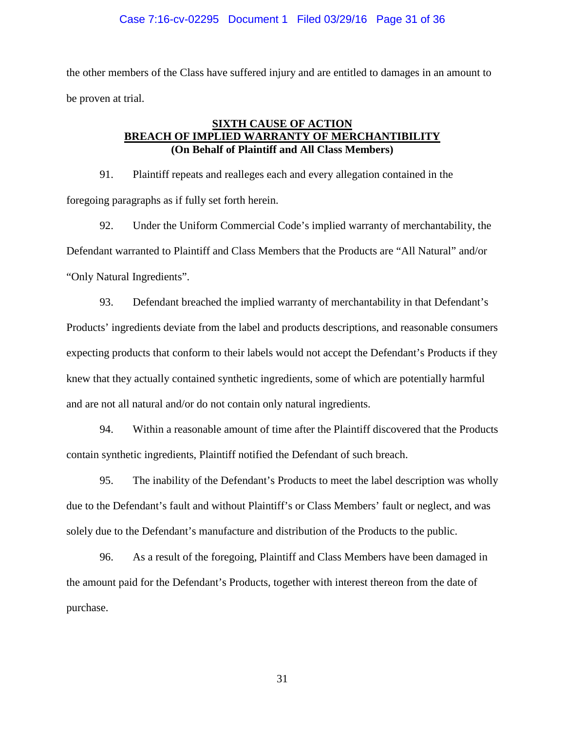the other members of the Class have suffered injury and are entitled to damages in an amount to be proven at trial.

# **SIXTH CAUSE OF ACTION BREACH OF IMPLIED WARRANTY OF MERCHANTIBILITY (On Behalf of Plaintiff and All Class Members)**

91. Plaintiff repeats and realleges each and every allegation contained in the foregoing paragraphs as if fully set forth herein.

92. Under the Uniform Commercial Code's implied warranty of merchantability, the Defendant warranted to Plaintiff and Class Members that the Products are "All Natural" and/or "Only Natural Ingredients".

93. Defendant breached the implied warranty of merchantability in that Defendant's Products' ingredients deviate from the label and products descriptions, and reasonable consumers expecting products that conform to their labels would not accept the Defendant's Products if they knew that they actually contained synthetic ingredients, some of which are potentially harmful and are not all natural and/or do not contain only natural ingredients.

94. Within a reasonable amount of time after the Plaintiff discovered that the Products contain synthetic ingredients, Plaintiff notified the Defendant of such breach.

95. The inability of the Defendant's Products to meet the label description was wholly due to the Defendant's fault and without Plaintiff's or Class Members' fault or neglect, and was solely due to the Defendant's manufacture and distribution of the Products to the public.

96. As a result of the foregoing, Plaintiff and Class Members have been damaged in the amount paid for the Defendant's Products, together with interest thereon from the date of purchase.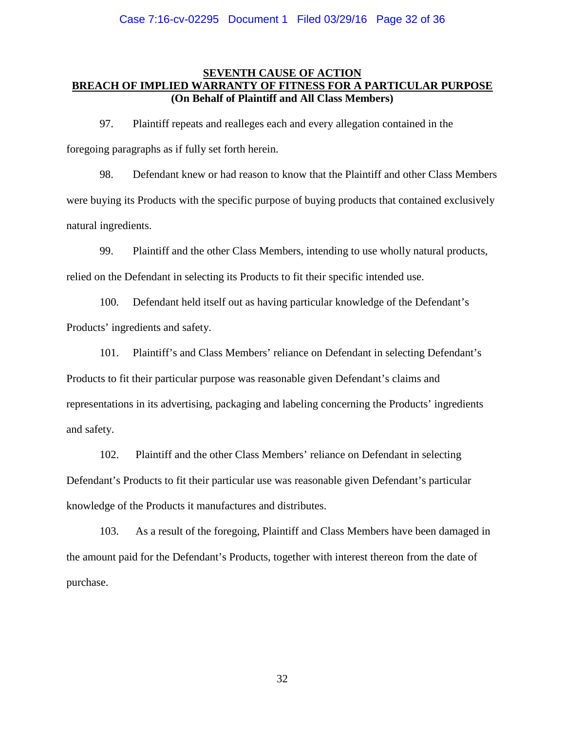## **SEVENTH CAUSE OF ACTION BREACH OF IMPLIED WARRANTY OF FITNESS FOR A PARTICULAR PURPOSE (On Behalf of Plaintiff and All Class Members)**

97. Plaintiff repeats and realleges each and every allegation contained in the foregoing paragraphs as if fully set forth herein.

98. Defendant knew or had reason to know that the Plaintiff and other Class Members were buying its Products with the specific purpose of buying products that contained exclusively natural ingredients.

99. Plaintiff and the other Class Members, intending to use wholly natural products, relied on the Defendant in selecting its Products to fit their specific intended use.

100. Defendant held itself out as having particular knowledge of the Defendant's Products' ingredients and safety.

101. Plaintiff's and Class Members' reliance on Defendant in selecting Defendant's Products to fit their particular purpose was reasonable given Defendant's claims and representations in its advertising, packaging and labeling concerning the Products' ingredients and safety.

102. Plaintiff and the other Class Members' reliance on Defendant in selecting Defendant's Products to fit their particular use was reasonable given Defendant's particular knowledge of the Products it manufactures and distributes.

103. As a result of the foregoing, Plaintiff and Class Members have been damaged in the amount paid for the Defendant's Products, together with interest thereon from the date of purchase.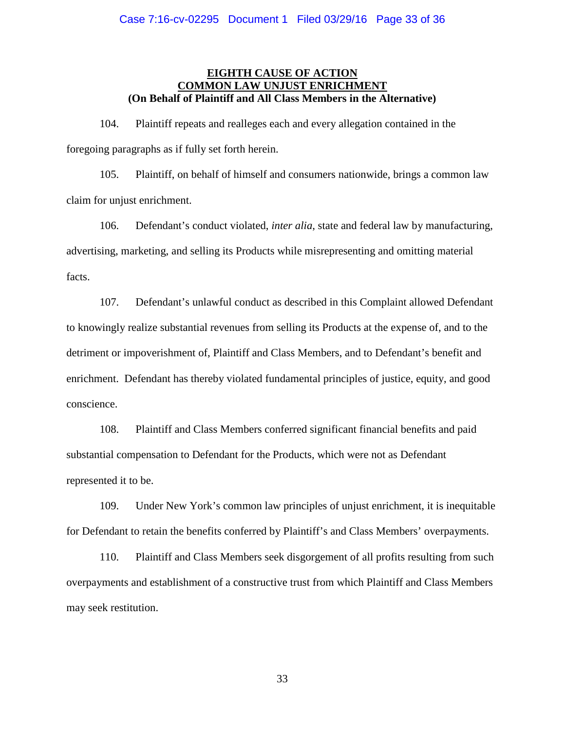## **EIGHTH CAUSE OF ACTION COMMON LAW UNJUST ENRICHMENT (On Behalf of Plaintiff and All Class Members in the Alternative)**

104. Plaintiff repeats and realleges each and every allegation contained in the foregoing paragraphs as if fully set forth herein.

105. Plaintiff, on behalf of himself and consumers nationwide, brings a common law claim for unjust enrichment.

106. Defendant's conduct violated, *inter alia*, state and federal law by manufacturing, advertising, marketing, and selling its Products while misrepresenting and omitting material facts.

107. Defendant's unlawful conduct as described in this Complaint allowed Defendant to knowingly realize substantial revenues from selling its Products at the expense of, and to the detriment or impoverishment of, Plaintiff and Class Members, and to Defendant's benefit and enrichment. Defendant has thereby violated fundamental principles of justice, equity, and good conscience.

108. Plaintiff and Class Members conferred significant financial benefits and paid substantial compensation to Defendant for the Products, which were not as Defendant represented it to be.

109. Under New York's common law principles of unjust enrichment, it is inequitable for Defendant to retain the benefits conferred by Plaintiff's and Class Members' overpayments.

110. Plaintiff and Class Members seek disgorgement of all profits resulting from such overpayments and establishment of a constructive trust from which Plaintiff and Class Members may seek restitution.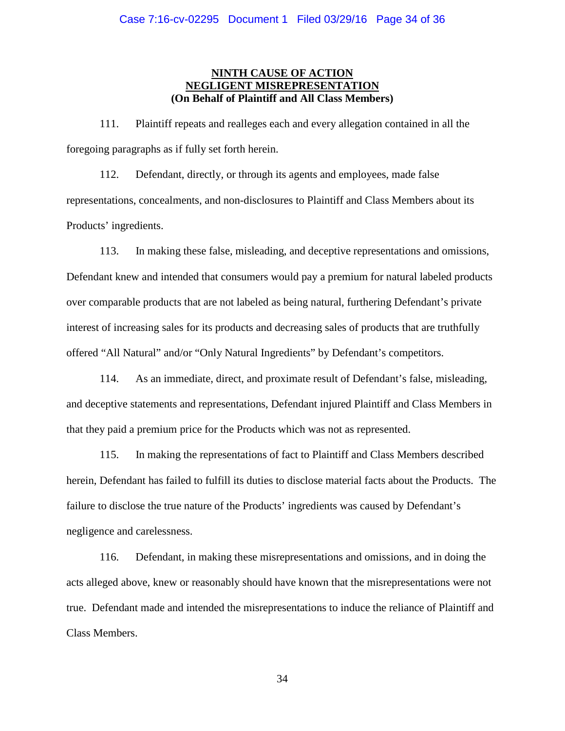## **NINTH CAUSE OF ACTION NEGLIGENT MISREPRESENTATION (On Behalf of Plaintiff and All Class Members)**

111. Plaintiff repeats and realleges each and every allegation contained in all the foregoing paragraphs as if fully set forth herein.

112. Defendant, directly, or through its agents and employees, made false representations, concealments, and non-disclosures to Plaintiff and Class Members about its Products' ingredients.

113. In making these false, misleading, and deceptive representations and omissions, Defendant knew and intended that consumers would pay a premium for natural labeled products over comparable products that are not labeled as being natural, furthering Defendant's private interest of increasing sales for its products and decreasing sales of products that are truthfully offered "All Natural" and/or "Only Natural Ingredients" by Defendant's competitors.

114. As an immediate, direct, and proximate result of Defendant's false, misleading, and deceptive statements and representations, Defendant injured Plaintiff and Class Members in that they paid a premium price for the Products which was not as represented.

115. In making the representations of fact to Plaintiff and Class Members described herein, Defendant has failed to fulfill its duties to disclose material facts about the Products. The failure to disclose the true nature of the Products' ingredients was caused by Defendant's negligence and carelessness.

116. Defendant, in making these misrepresentations and omissions, and in doing the acts alleged above, knew or reasonably should have known that the misrepresentations were not true. Defendant made and intended the misrepresentations to induce the reliance of Plaintiff and Class Members.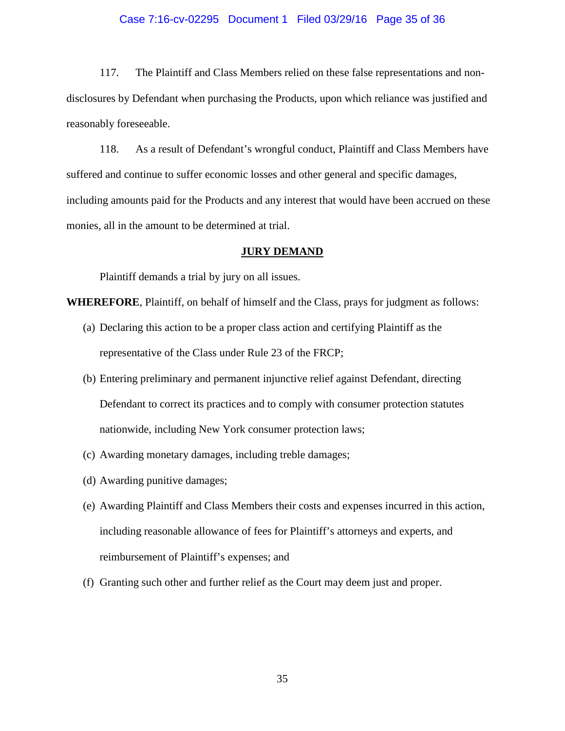#### Case 7:16-cv-02295 Document 1 Filed 03/29/16 Page 35 of 36

117. The Plaintiff and Class Members relied on these false representations and nondisclosures by Defendant when purchasing the Products, upon which reliance was justified and reasonably foreseeable.

118. As a result of Defendant's wrongful conduct, Plaintiff and Class Members have suffered and continue to suffer economic losses and other general and specific damages, including amounts paid for the Products and any interest that would have been accrued on these monies, all in the amount to be determined at trial.

### **JURY DEMAND**

Plaintiff demands a trial by jury on all issues.

**WHEREFORE**, Plaintiff, on behalf of himself and the Class, prays for judgment as follows:

- (a) Declaring this action to be a proper class action and certifying Plaintiff as the representative of the Class under Rule 23 of the FRCP;
- (b) Entering preliminary and permanent injunctive relief against Defendant, directing Defendant to correct its practices and to comply with consumer protection statutes nationwide, including New York consumer protection laws;
- (c) Awarding monetary damages, including treble damages;
- (d) Awarding punitive damages;
- (e) Awarding Plaintiff and Class Members their costs and expenses incurred in this action, including reasonable allowance of fees for Plaintiff's attorneys and experts, and reimbursement of Plaintiff's expenses; and
- (f) Granting such other and further relief as the Court may deem just and proper.